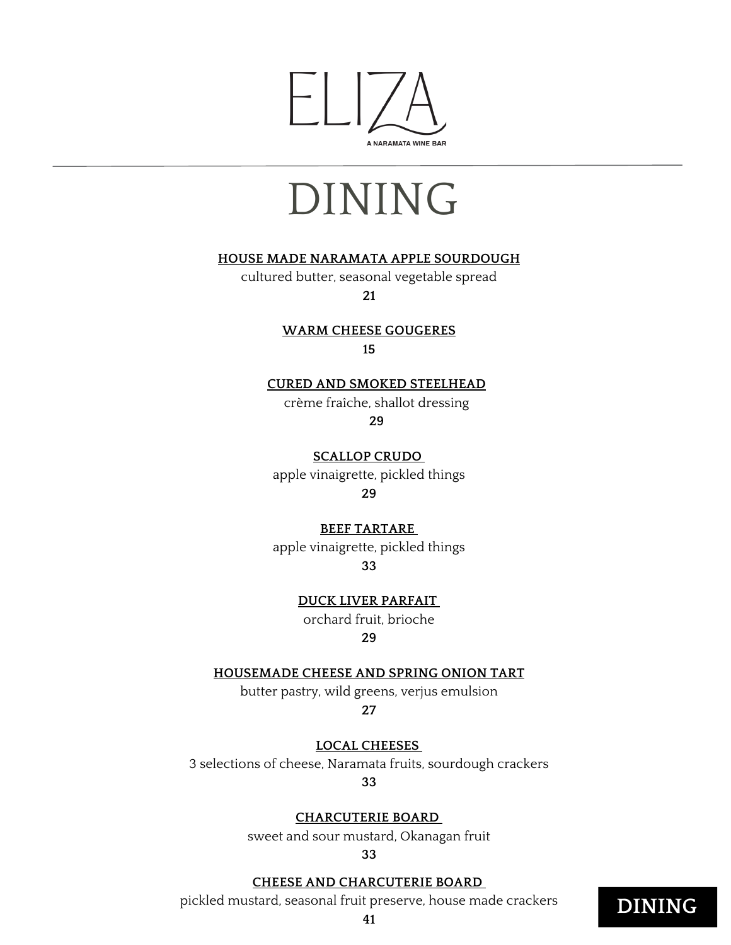

# DINING

#### **HOUSE MADE NARAMATA APPLE SOURDOUGH**

cultured butter, seasonal vegetable spread **21**

> **WARM CHEESE GOUGERES 15**

#### **CURED AND SMOKED STEELHEAD**

crème fraîche, shallot dressing

**29**

**SCALLOP CRUDO** apple vinaigrette, pickled things

**29**

#### **BEEF TARTARE**

apple vinaigrette, pickled things

**33**

**DUCK LIVER PARFAIT**

orchard fruit, brioche

#### **29**

#### **HOUSEMADE CHEESE AND SPRING ONION TART**

butter pastry, wild greens, verjus emulsion **27**

**LOCAL CHEESES**

3 selections of cheese, Naramata fruits, sourdough crackers

**33**

#### **CHARCUTERIE BOARD**

sweet and sour mustard, Okanagan fruit

**33**

#### **CHEESE AND CHARCUTERIE BOARD**

pickled mustard, seasonal fruit preserve, house made crackers